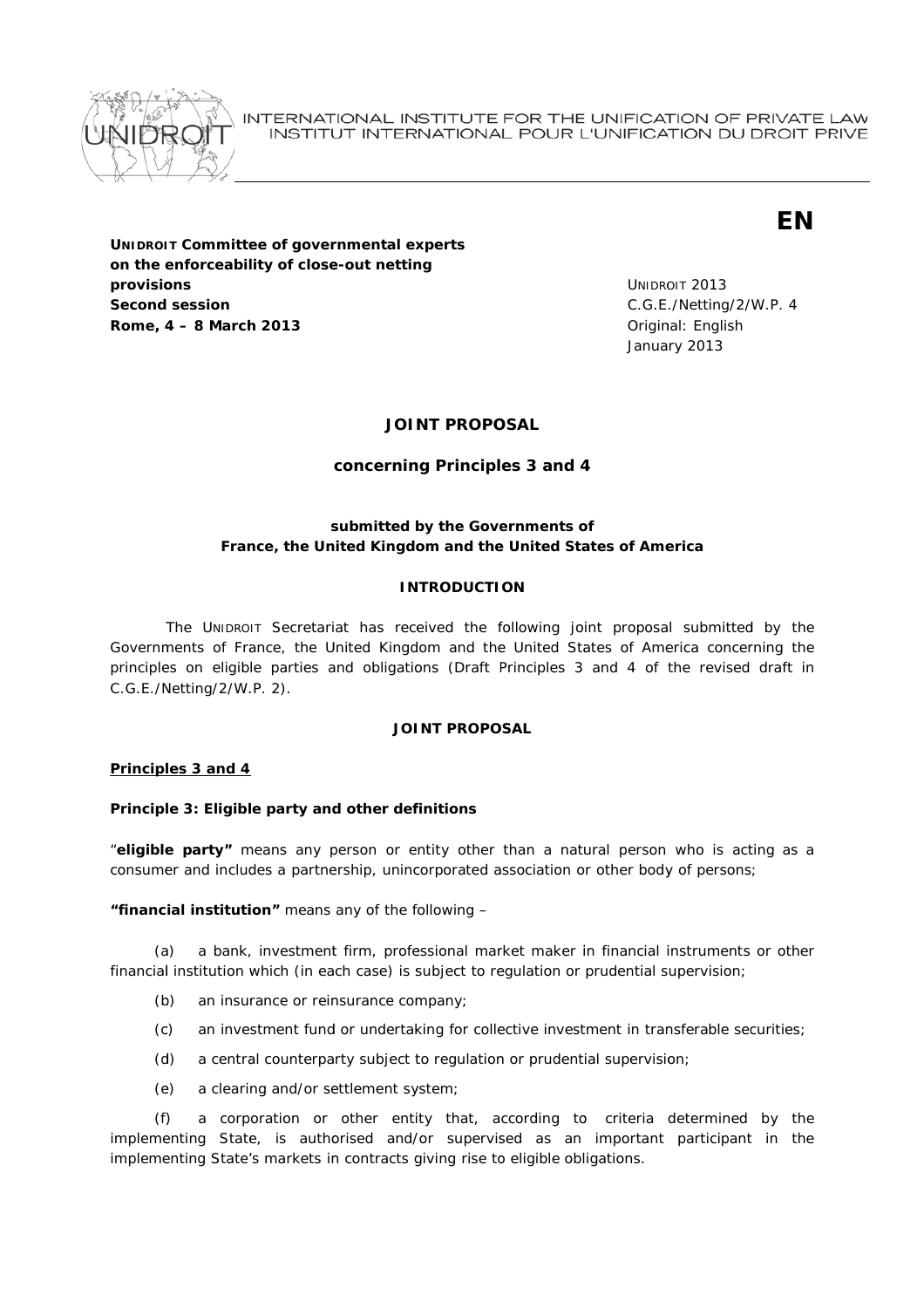

INTERNATIONAL INSTITUTE FOR THE UNIFICATION OF PRIVATE LAW INSTITUT INTERNATIONAL POUR L'UNIFICATION DU DROIT PRIVE

**EN** 

**UNIDROIT Committee of governmental experts** on the enforceability of close-out netting provisions **Second session** Rome, 4 - 8 March 2013

**UNIDROIT 2013** C.G.E./Netting/2/W.P. 4 Original: English January 2013

## **JOINT PROPOSAL**

# concerning Principles 3 and 4

# submitted by the Governments of France, the United Kingdom and the United States of America

## **INTRODUCTION**

The UNIDROIT Secretariat has received the following joint proposal submitted by the Governments of France, the United Kingdom and the United States of America concerning the principles on eligible parties and obligations (Draft Principles 3 and 4 of the revised draft in C.G.E./Netting/2/W.P. 2).

## **JOINT PROPOSAL**

## Principles 3 and 4

## Principle 3: Eligible party and other definitions

"eligible party" means any person or entity other than a natural person who is acting as a consumer and includes a partnership, unincorporated association or other body of persons;

"financial institution" means any of the following -

a bank, investment firm, professional market maker in financial instruments or other  $(a)$ financial institution which (in each case) is subject to regulation or prudential supervision;

- $(b)$ an insurance or reinsurance company;
- $(c)$ an investment fund or undertaking for collective investment in transferable securities;
- $(d)$ a central counterparty subject to regulation or prudential supervision;
- a clearing and/or settlement system;  $(e)$

a corporation or other entity that, according to criteria determined by the  $(f)$ implementing State, is authorised and/or supervised as an important participant in the implementing State's markets in contracts giving rise to eligible obligations.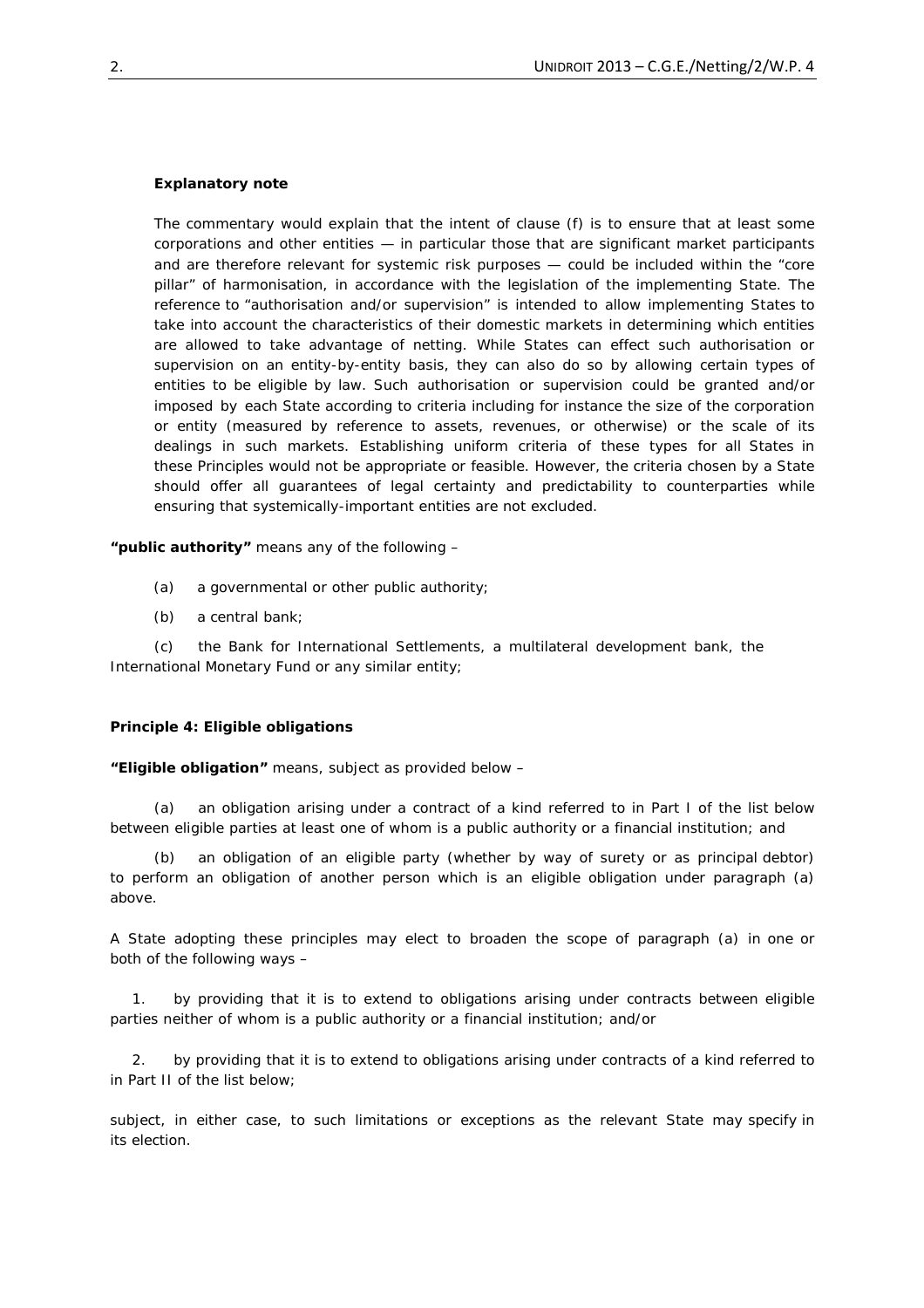## *Explanatory note*

*The commentary would explain that the intent of clause (f) is to ensure that at least some corporations and other entities — in particular those that are significant market participants and are therefore relevant for systemic risk purposes — could be included within the "core pillar" of harmonisation, in accordance with the legislation of the implementing State. The reference to "authorisation and/or supervision" is intended to allow implementing States to take into account the characteristics of their domestic markets in determining which entities are allowed to take advantage of netting. While States can effect such authorisation or supervision on an entity-by-entity basis, they can also do so by allowing certain types of entities to be eligible by law. Such authorisation or supervision could be granted and/or imposed by each State according to criteria including for instance the size of the corporation or entity (measured by reference to assets, revenues, or otherwise) or the scale of its dealings in such markets. Establishing uniform criteria of these types for all States in these Principles would not be appropriate or feasible. However, the criteria chosen by a State should offer all guarantees of legal certainty and predictability to counterparties while ensuring that systemically-important entities are not excluded.*

*"public authority"* means any of the following –

- (a) a governmental or other public authority;
- (b) a central bank;

 (c) the Bank for International Settlements, a multilateral development bank, the International Monetary Fund or any similar entity;

#### **Principle 4: Eligible obligations**

**"***Eligible obligation***"** means, subject as provided below –

 (a) an obligation arising under a contract of a kind referred to in Part I of the list below between eligible parties at least one of whom is a public authority or a financial institution; and

an obligation of an eligible party (whether by way of surety or as principal debtor) to perform an obligation of another person which is an eligible obligation under paragraph (a) above.

A State adopting these principles may elect to broaden the scope of paragraph (a) in one or both of the following ways –

1. by providing that it is to extend to obligations arising under contracts between eligible parties neither of whom is a public authority or a financial institution; and/or

2. by providing that it is to extend to obligations arising under contracts of a kind referred to in Part II of the list below;

subject, in either case, to such limitations or exceptions as the relevant State may specify in its election.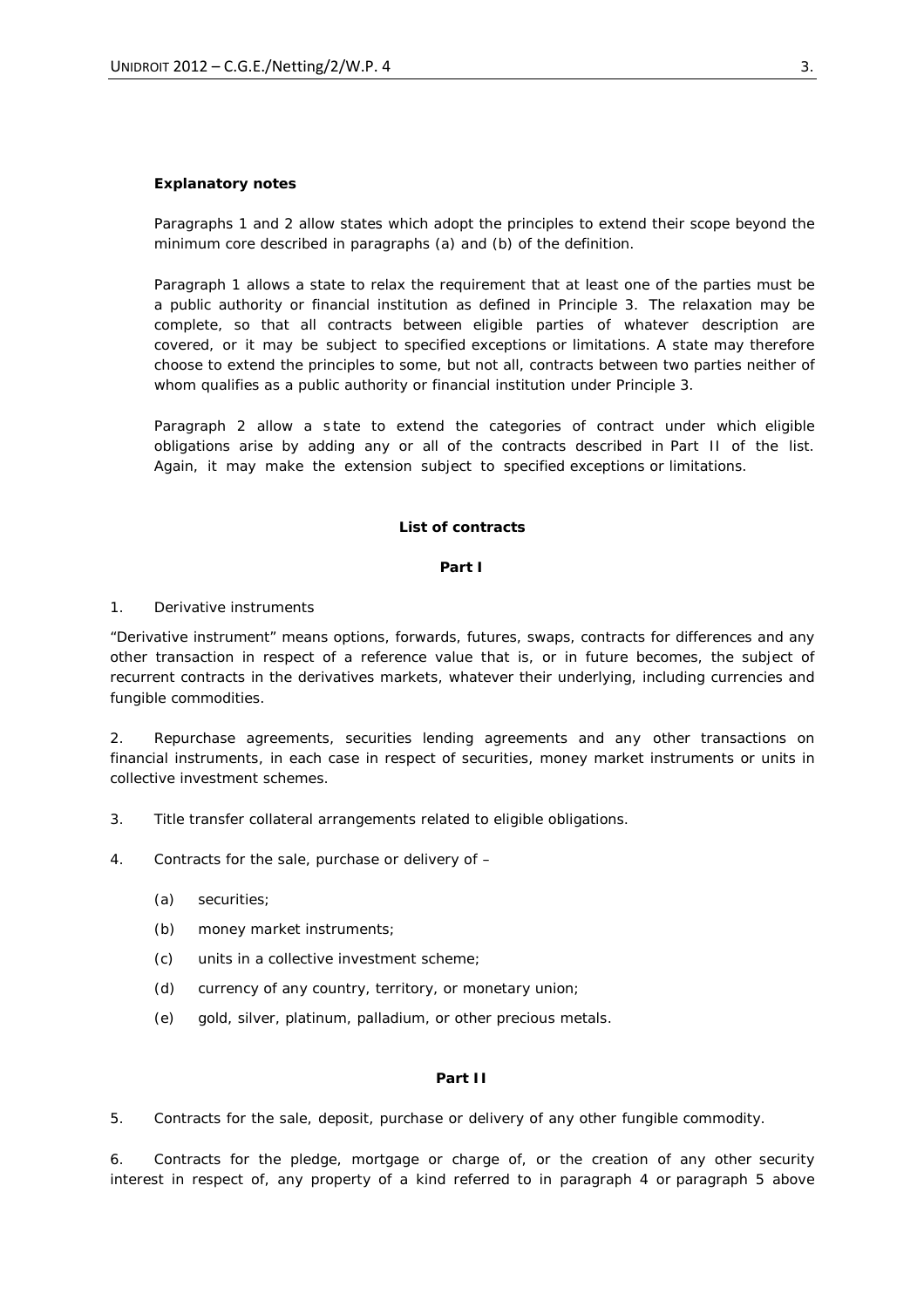## *Explanatory notes*

*Paragraphs 1 and 2 allow states which adopt the principles to extend their scope beyond the minimum core described in paragraphs (a) and (b) of the definition.*

*Paragraph 1 allows a state to relax the requirement that at least one of the parties must be a public authority or financial institution as defined in Principle 3. The relaxation may be complete, so that all contracts between eligible parties of whatever description are covered, or it may be subject to specified exceptions or limitations. A state may therefore choose to extend the principles to some, but not all, contracts between two parties neither of whom qualifies as a public authority or financial institution under Principle 3.*

Paragraph 2 allow a state to extend the categories of contract under which eligible *obligations arise by adding any or all of the contracts described in Part II of the list. Again, it may make the extension subject to specified exceptions or limitations.* 

## **List of contracts**

#### **Part I**

## 1. Derivative instruments

*"Derivative instrument" means options, forwards, futures, swaps, contracts for differences and any other transaction in respect of a reference value that is, or in future becomes, the subject of recurrent contracts in the derivatives markets, whatever their underlying, including currencies and fungible commodities.*

2. Repurchase agreements, securities lending agreements and any other transactions on financial instruments, in each case in respect of securities, money market instruments or units in collective investment schemes.

3. Title transfer collateral arrangements related to eligible obligations.

4. Contracts for the sale, purchase or delivery of –

- (a) securities;
- (b) money market instruments;
- (c) units in a collective investment scheme;
- (d) currency of any country, territory, or monetary union;
- (e) gold, silver, platinum, palladium, or other precious metals.

### **Part II**

5. Contracts for the sale, deposit, purchase or delivery of any other fungible commodity.

6. Contracts for the pledge, mortgage or charge of, or the creation of any other security interest in respect of, any property of a kind referred to in paragraph 4 or paragraph 5 above